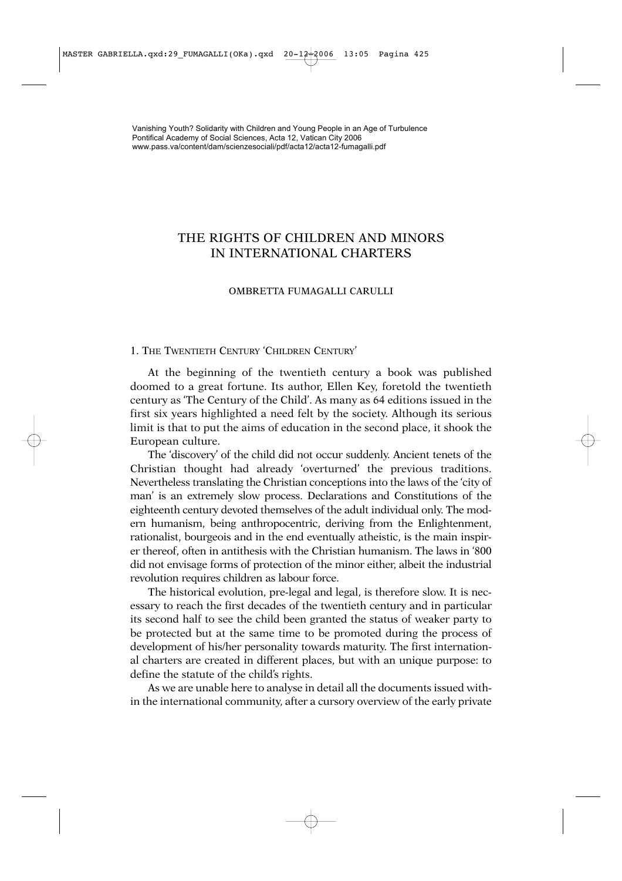# THE RIGHTS OF CHILDREN AND MINORS IN INTERNATIONAL CHARTERS

## OMBRETTA FUMAGALLI CARULLI

## 1. THE TWENTIETH CENTURY 'CHILDREN CENTURY'

At the beginning of the twentieth century a book was published doomed to a great fortune. Its author, Ellen Key, foretold the twentieth century as 'The Century of the Child'. As many as 64 editions issued in the first six years highlighted a need felt by the society. Although its serious limit is that to put the aims of education in the second place, it shook the European culture.

The 'discovery' of the child did not occur suddenly. Ancient tenets of the Christian thought had already 'overturned' the previous traditions. Nevertheless translating the Christian conceptions into the laws of the 'city of man' is an extremely slow process. Declarations and Constitutions of the eighteenth century devoted themselves of the adult individual only. The modern humanism, being anthropocentric, deriving from the Enlightenment, rationalist, bourgeois and in the end eventually atheistic, is the main inspirer thereof, often in antithesis with the Christian humanism. The laws in '800 did not envisage forms of protection of the minor either, albeit the industrial revolution requires children as labour force.

The historical evolution, pre-legal and legal, is therefore slow. It is necessary to reach the first decades of the twentieth century and in particular its second half to see the child been granted the status of weaker party to be protected but at the same time to be promoted during the process of development of his/her personality towards maturity. The first international charters are created in different places, but with an unique purpose: to define the statute of the child's rights.

As we are unable here to analyse in detail all the documents issued within the international community, after a cursory overview of the early private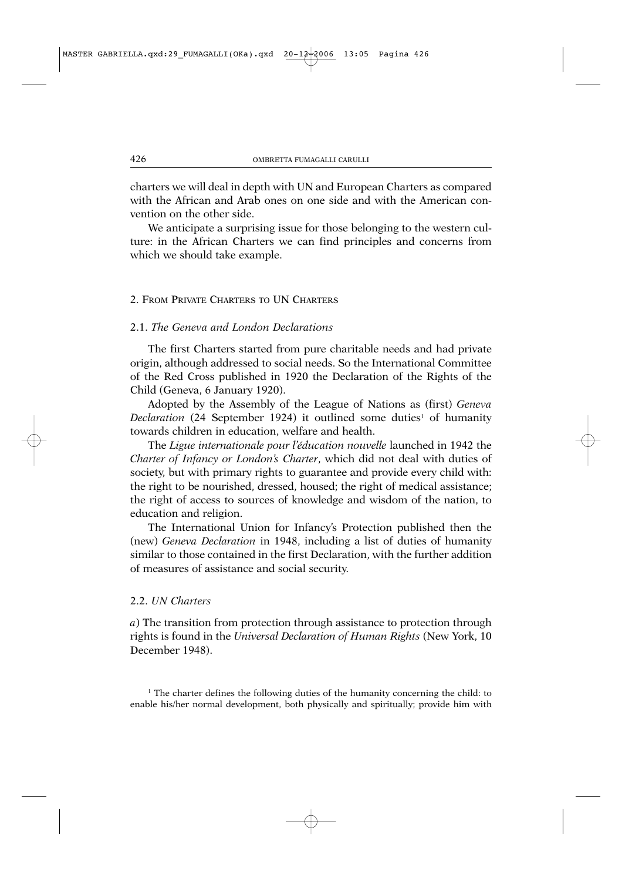charters we will deal in depth with UN and European Charters as compared with the African and Arab ones on one side and with the American convention on the other side.

We anticipate a surprising issue for those belonging to the western culture: in the African Charters we can find principles and concerns from which we should take example.

#### 2. FROM PRIVATE CHARTERS TO UN CHARTERS

## 2.1. *The Geneva and London Declarations*

The first Charters started from pure charitable needs and had private origin, although addressed to social needs. So the International Committee of the Red Cross published in 1920 the Declaration of the Rights of the Child (Geneva, 6 January 1920).

Adopted by the Assembly of the League of Nations as (first) *Geneva Declaration* (24 September 1924) it outlined some duties<sup>1</sup> of humanity towards children in education, welfare and health.

The *Ligue internationale pour l'éducation nouvelle* launched in 1942 the *Charter of Infancy or London's Charter*, which did not deal with duties of society, but with primary rights to guarantee and provide every child with: the right to be nourished, dressed, housed; the right of medical assistance; the right of access to sources of knowledge and wisdom of the nation, to education and religion.

The International Union for Infancy's Protection published then the (new) *Geneva Declaration* in 1948, including a list of duties of humanity similar to those contained in the first Declaration, with the further addition of measures of assistance and social security.

#### 2.2. *UN Charters*

*a*) The transition from protection through assistance to protection through rights is found in the *Universal Declaration of Human Rights* (New York, 10 December 1948).

 $<sup>1</sup>$  The charter defines the following duties of the humanity concerning the child: to</sup> enable his/her normal development, both physically and spiritually; provide him with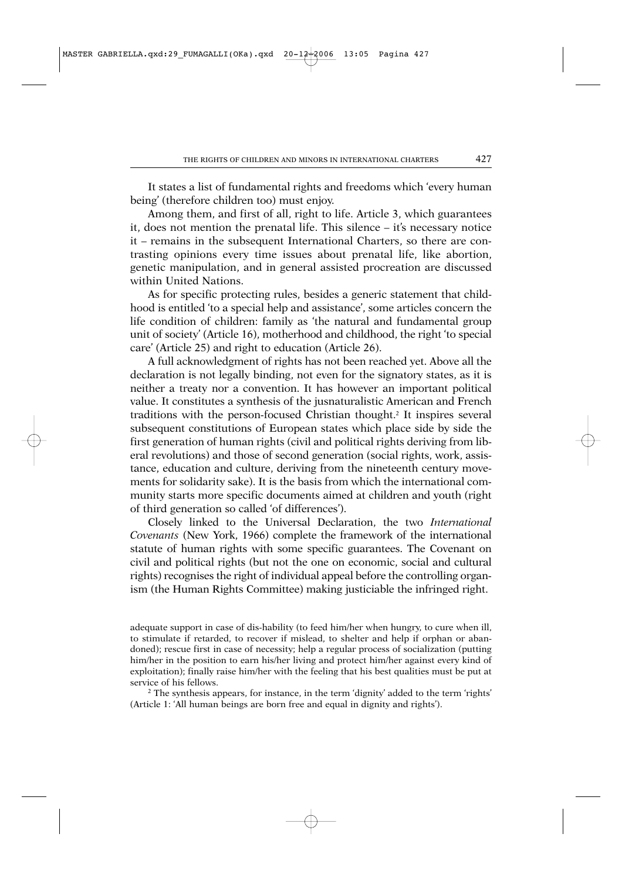It states a list of fundamental rights and freedoms which 'every human being' (therefore children too) must enjoy.

Among them, and first of all, right to life. Article 3, which guarantees it, does not mention the prenatal life. This silence – it's necessary notice it – remains in the subsequent International Charters, so there are contrasting opinions every time issues about prenatal life, like abortion, genetic manipulation, and in general assisted procreation are discussed within United Nations.

As for specific protecting rules, besides a generic statement that childhood is entitled 'to a special help and assistance', some articles concern the life condition of children: family as 'the natural and fundamental group unit of society' (Article 16), motherhood and childhood, the right 'to special care' (Article 25) and right to education (Article 26).

A full acknowledgment of rights has not been reached yet. Above all the declaration is not legally binding, not even for the signatory states, as it is neither a treaty nor a convention. It has however an important political value. It constitutes a synthesis of the jusnaturalistic American and French traditions with the person-focused Christian thought.2 It inspires several subsequent constitutions of European states which place side by side the first generation of human rights (civil and political rights deriving from liberal revolutions) and those of second generation (social rights, work, assistance, education and culture, deriving from the nineteenth century movements for solidarity sake). It is the basis from which the international community starts more specific documents aimed at children and youth (right of third generation so called 'of differences').

Closely linked to the Universal Declaration, the two *International Covenants* (New York, 1966) complete the framework of the international statute of human rights with some specific guarantees. The Covenant on civil and political rights (but not the one on economic, social and cultural rights) recognises the right of individual appeal before the controlling organism (the Human Rights Committee) making justiciable the infringed right.

adequate support in case of dis-hability (to feed him/her when hungry, to cure when ill, to stimulate if retarded, to recover if mislead, to shelter and help if orphan or abandoned); rescue first in case of necessity; help a regular process of socialization (putting him/her in the position to earn his/her living and protect him/her against every kind of exploitation); finally raise him/her with the feeling that his best qualities must be put at service of his fellows.

<sup>2</sup> The synthesis appears, for instance, in the term 'dignity' added to the term 'rights' (Article 1: 'All human beings are born free and equal in dignity and rights').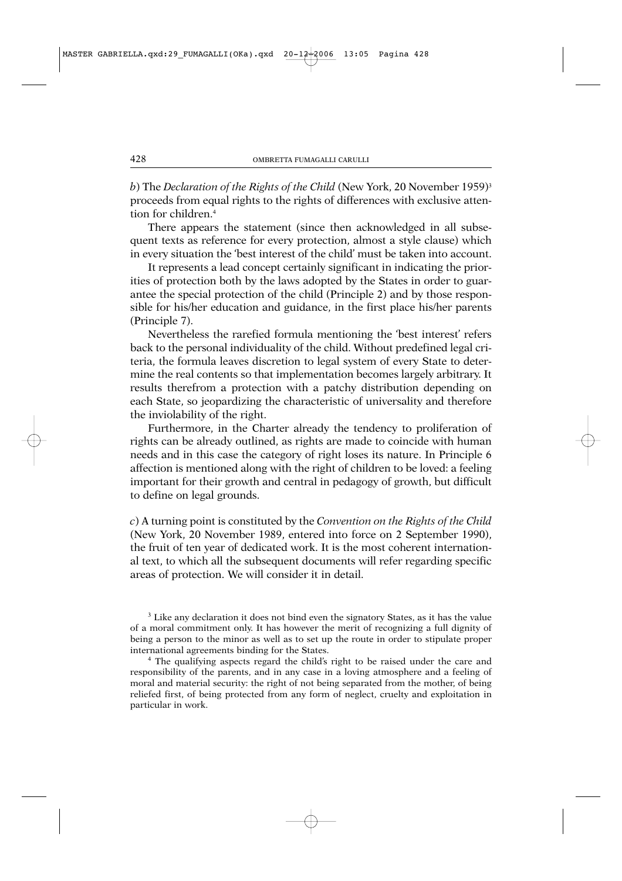*b*) The *Declaration of the Rights of the Child* (New York, 20 November 1959)3 proceeds from equal rights to the rights of differences with exclusive attention for children.4

There appears the statement (since then acknowledged in all subsequent texts as reference for every protection, almost a style clause) which in every situation the 'best interest of the child' must be taken into account.

It represents a lead concept certainly significant in indicating the priorities of protection both by the laws adopted by the States in order to guarantee the special protection of the child (Principle 2) and by those responsible for his/her education and guidance, in the first place his/her parents (Principle 7).

Nevertheless the rarefied formula mentioning the 'best interest' refers back to the personal individuality of the child. Without predefined legal criteria, the formula leaves discretion to legal system of every State to determine the real contents so that implementation becomes largely arbitrary. It results therefrom a protection with a patchy distribution depending on each State, so jeopardizing the characteristic of universality and therefore the inviolability of the right.

Furthermore, in the Charter already the tendency to proliferation of rights can be already outlined, as rights are made to coincide with human needs and in this case the category of right loses its nature. In Principle 6 affection is mentioned along with the right of children to be loved: a feeling important for their growth and central in pedagogy of growth, but difficult to define on legal grounds.

*c*) A turning point is constituted by the *Convention on the Rights of the Child* (New York, 20 November 1989, entered into force on 2 September 1990), the fruit of ten year of dedicated work. It is the most coherent international text, to which all the subsequent documents will refer regarding specific areas of protection. We will consider it in detail.

<sup>3</sup> Like any declaration it does not bind even the signatory States, as it has the value of a moral commitment only. It has however the merit of recognizing a full dignity of being a person to the minor as well as to set up the route in order to stipulate proper international agreements binding for the States.

<sup>4</sup> The qualifying aspects regard the child's right to be raised under the care and responsibility of the parents, and in any case in a loving atmosphere and a feeling of moral and material security: the right of not being separated from the mother, of being reliefed first, of being protected from any form of neglect, cruelty and exploitation in particular in work.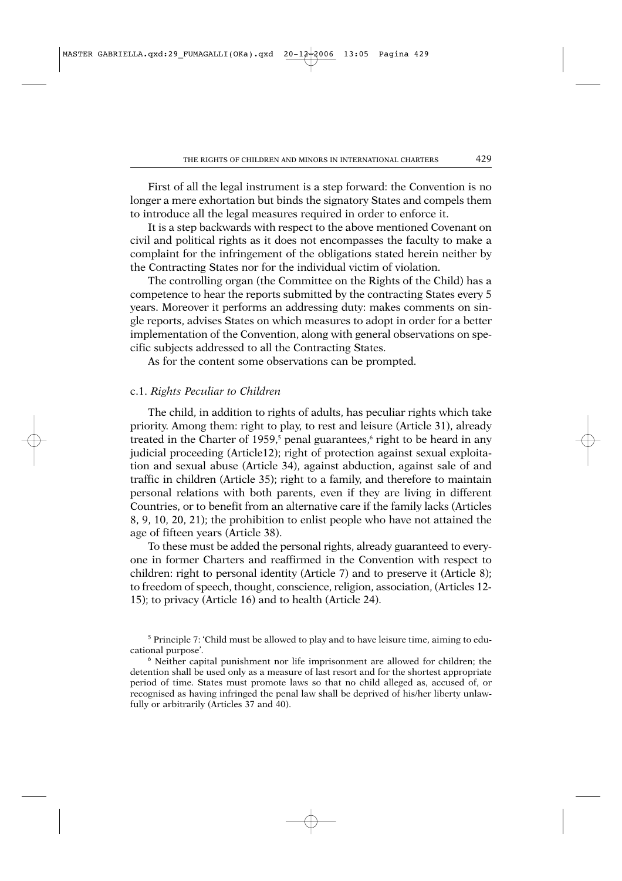First of all the legal instrument is a step forward: the Convention is no longer a mere exhortation but binds the signatory States and compels them to introduce all the legal measures required in order to enforce it.

It is a step backwards with respect to the above mentioned Covenant on civil and political rights as it does not encompasses the faculty to make a complaint for the infringement of the obligations stated herein neither by the Contracting States nor for the individual victim of violation.

The controlling organ (the Committee on the Rights of the Child) has a competence to hear the reports submitted by the contracting States every 5 years. Moreover it performs an addressing duty: makes comments on single reports, advises States on which measures to adopt in order for a better implementation of the Convention, along with general observations on specific subjects addressed to all the Contracting States.

As for the content some observations can be prompted.

#### c.1. *Rights Peculiar to Children*

The child, in addition to rights of adults, has peculiar rights which take priority. Among them: right to play, to rest and leisure (Article 31), already treated in the Charter of 1959,<sup>5</sup> penal guarantees, $\epsilon$  right to be heard in any judicial proceeding (Article12); right of protection against sexual exploitation and sexual abuse (Article 34), against abduction, against sale of and traffic in children (Article 35); right to a family, and therefore to maintain personal relations with both parents, even if they are living in different Countries, or to benefit from an alternative care if the family lacks (Articles 8, 9, 10, 20, 21); the prohibition to enlist people who have not attained the age of fifteen years (Article 38).

To these must be added the personal rights, already guaranteed to everyone in former Charters and reaffirmed in the Convention with respect to children: right to personal identity (Article 7) and to preserve it (Article 8); to freedom of speech, thought, conscience, religion, association, (Articles 12- 15); to privacy (Article 16) and to health (Article 24).

<sup>5</sup> Principle 7: 'Child must be allowed to play and to have leisure time, aiming to educational purpose'.

<sup>6</sup> Neither capital punishment nor life imprisonment are allowed for children; the detention shall be used only as a measure of last resort and for the shortest appropriate period of time. States must promote laws so that no child alleged as, accused of, or recognised as having infringed the penal law shall be deprived of his/her liberty unlawfully or arbitrarily (Articles 37 and 40).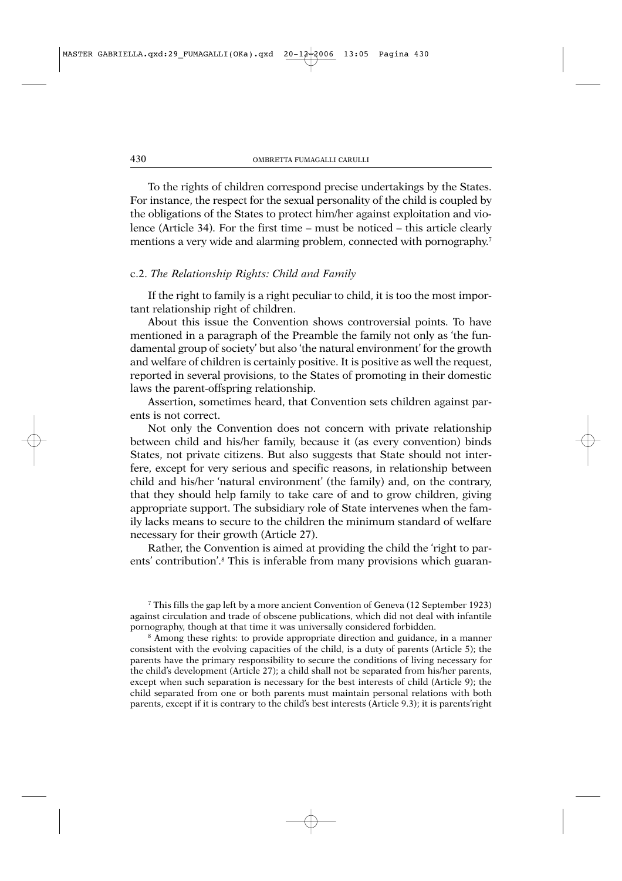To the rights of children correspond precise undertakings by the States. For instance, the respect for the sexual personality of the child is coupled by the obligations of the States to protect him/her against exploitation and violence (Article 34). For the first time – must be noticed – this article clearly mentions a very wide and alarming problem, connected with pornography.<sup>7</sup>

## c.2. *The Relationship Rights: Child and Family*

If the right to family is a right peculiar to child, it is too the most important relationship right of children.

About this issue the Convention shows controversial points. To have mentioned in a paragraph of the Preamble the family not only as 'the fundamental group of society' but also 'the natural environment' for the growth and welfare of children is certainly positive. It is positive as well the request, reported in several provisions, to the States of promoting in their domestic laws the parent-offspring relationship.

Assertion, sometimes heard, that Convention sets children against parents is not correct.

Not only the Convention does not concern with private relationship between child and his/her family, because it (as every convention) binds States, not private citizens. But also suggests that State should not interfere, except for very serious and specific reasons, in relationship between child and his/her 'natural environment' (the family) and, on the contrary, that they should help family to take care of and to grow children, giving appropriate support. The subsidiary role of State intervenes when the family lacks means to secure to the children the minimum standard of welfare necessary for their growth (Article 27).

Rather, the Convention is aimed at providing the child the 'right to parents' contribution'.<sup>8</sup> This is inferable from many provisions which guaran-

<sup>7</sup> This fills the gap left by a more ancient Convention of Geneva (12 September 1923) against circulation and trade of obscene publications, which did not deal with infantile pornography, though at that time it was universally considered forbidden.

<sup>8</sup> Among these rights: to provide appropriate direction and guidance, in a manner consistent with the evolving capacities of the child, is a duty of parents (Article 5); the parents have the primary responsibility to secure the conditions of living necessary for the child's development (Article 27); a child shall not be separated from his/her parents, except when such separation is necessary for the best interests of child (Article 9); the child separated from one or both parents must maintain personal relations with both parents, except if it is contrary to the child's best interests (Article 9.3); it is parents'right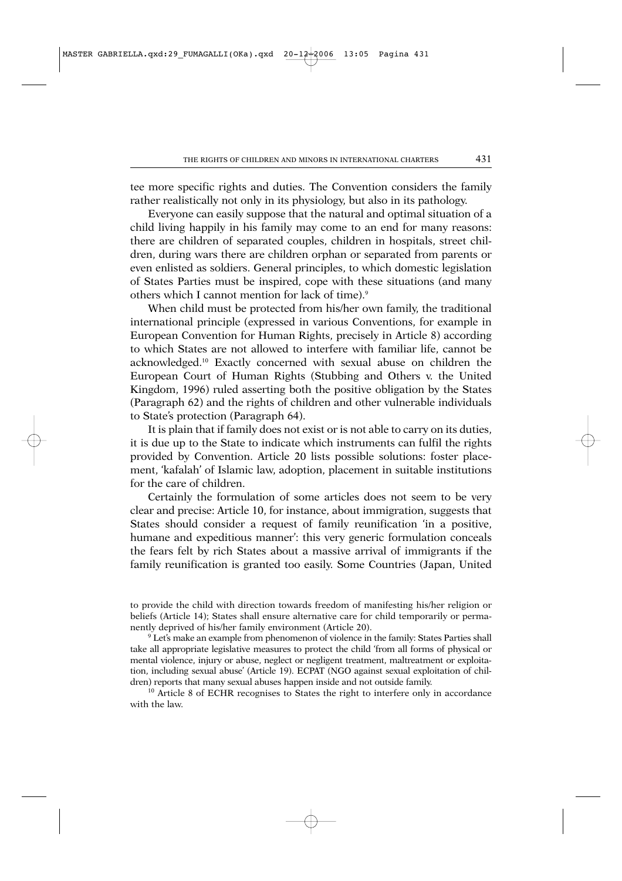tee more specific rights and duties. The Convention considers the family rather realistically not only in its physiology, but also in its pathology.

Everyone can easily suppose that the natural and optimal situation of a child living happily in his family may come to an end for many reasons: there are children of separated couples, children in hospitals, street children, during wars there are children orphan or separated from parents or even enlisted as soldiers. General principles, to which domestic legislation of States Parties must be inspired, cope with these situations (and many others which I cannot mention for lack of time).9

When child must be protected from his/her own family, the traditional international principle (expressed in various Conventions, for example in European Convention for Human Rights, precisely in Article 8) according to which States are not allowed to interfere with familiar life, cannot be acknowledged.10 Exactly concerned with sexual abuse on children the European Court of Human Rights (Stubbing and Others v. the United Kingdom, 1996) ruled asserting both the positive obligation by the States (Paragraph 62) and the rights of children and other vulnerable individuals to State's protection (Paragraph 64).

It is plain that if family does not exist or is not able to carry on its duties, it is due up to the State to indicate which instruments can fulfil the rights provided by Convention. Article 20 lists possible solutions: foster placement, 'kafalah' of Islamic law, adoption, placement in suitable institutions for the care of children.

Certainly the formulation of some articles does not seem to be very clear and precise: Article 10, for instance, about immigration, suggests that States should consider a request of family reunification 'in a positive, humane and expeditious manner': this very generic formulation conceals the fears felt by rich States about a massive arrival of immigrants if the family reunification is granted too easily. Some Countries (Japan, United

to provide the child with direction towards freedom of manifesting his/her religion or beliefs (Article 14); States shall ensure alternative care for child temporarily or permanently deprived of his/her family environment (Article 20).

<sup>9</sup> Let's make an example from phenomenon of violence in the family: States Parties shall take all appropriate legislative measures to protect the child 'from all forms of physical or mental violence, injury or abuse, neglect or negligent treatment, maltreatment or exploitation, including sexual abuse' (Article 19). ECPAT (NGO against sexual exploitation of children) reports that many sexual abuses happen inside and not outside family.

<sup>10</sup> Article 8 of ECHR recognises to States the right to interfere only in accordance with the law.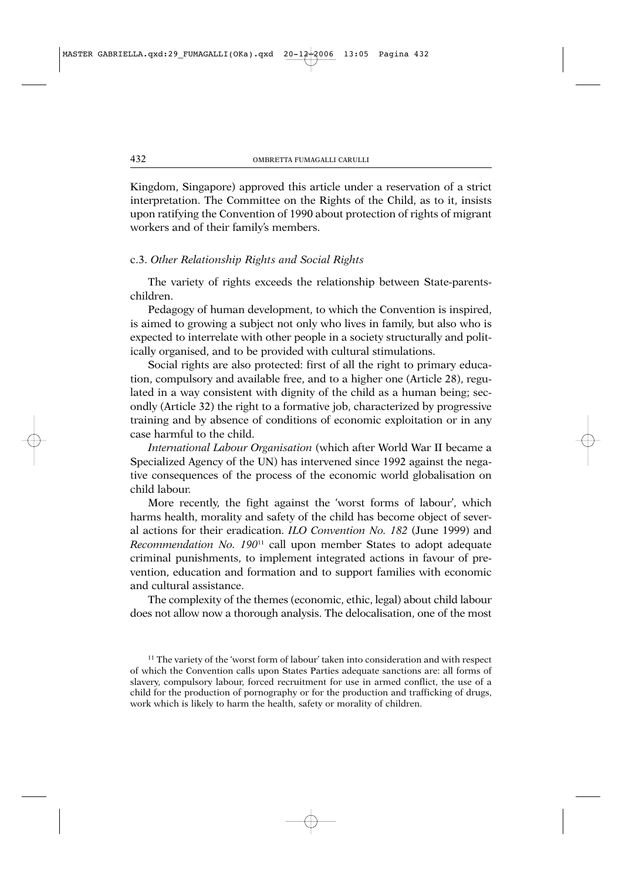Kingdom, Singapore) approved this article under a reservation of a strict interpretation. The Committee on the Rights of the Child, as to it, insists upon ratifying the Convention of 1990 about protection of rights of migrant workers and of their family's members.

## c.3. *Other Relationship Rights and Social Rights*

The variety of rights exceeds the relationship between State-parentschildren.

Pedagogy of human development, to which the Convention is inspired, is aimed to growing a subject not only who lives in family, but also who is expected to interrelate with other people in a society structurally and politically organised, and to be provided with cultural stimulations.

Social rights are also protected: first of all the right to primary education, compulsory and available free, and to a higher one (Article 28), regulated in a way consistent with dignity of the child as a human being; secondly (Article 32) the right to a formative job, characterized by progressive training and by absence of conditions of economic exploitation or in any case harmful to the child.

*International Labour Organisation* (which after World War II became a Specialized Agency of the UN) has intervened since 1992 against the negative consequences of the process of the economic world globalisation on child labour.

More recently, the fight against the 'worst forms of labour', which harms health, morality and safety of the child has become object of several actions for their eradication. *ILO Convention No. 182* (June 1999) and *Recommendation No. 190*<sup>11</sup> call upon member States to adopt adequate criminal punishments, to implement integrated actions in favour of prevention, education and formation and to support families with economic and cultural assistance.

The complexity of the themes (economic, ethic, legal) about child labour does not allow now a thorough analysis. The delocalisation, one of the most

 $11$  The variety of the 'worst form of labour' taken into consideration and with respect of which the Convention calls upon States Parties adequate sanctions are: all forms of slavery, compulsory labour, forced recruitment for use in armed conflict, the use of a child for the production of pornography or for the production and trafficking of drugs, work which is likely to harm the health, safety or morality of children.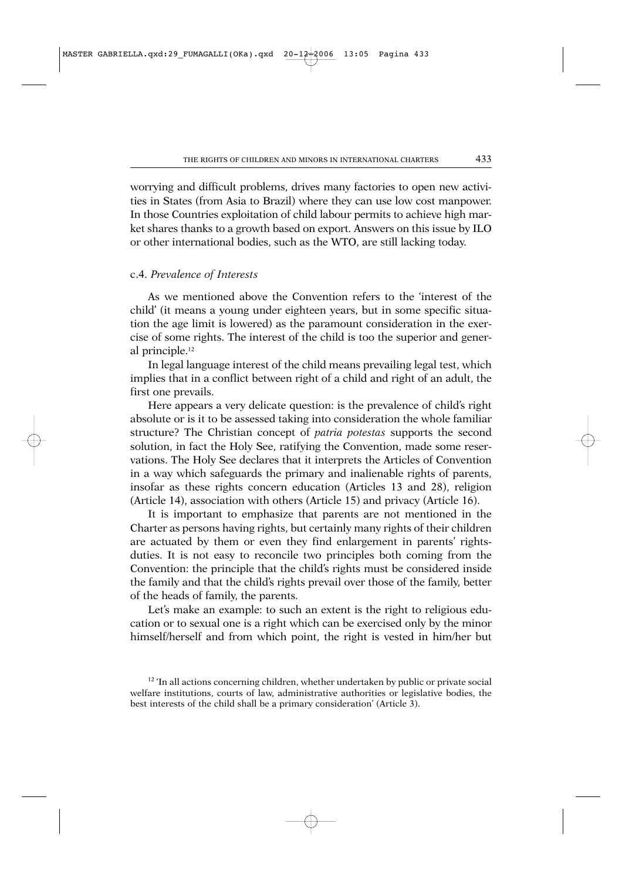worrying and difficult problems, drives many factories to open new activities in States (from Asia to Brazil) where they can use low cost manpower. In those Countries exploitation of child labour permits to achieve high market shares thanks to a growth based on export. Answers on this issue by ILO or other international bodies, such as the WTO, are still lacking today.

#### c.4. *Prevalence of Interests*

As we mentioned above the Convention refers to the 'interest of the child' (it means a young under eighteen years, but in some specific situation the age limit is lowered) as the paramount consideration in the exercise of some rights. The interest of the child is too the superior and general principle.12

In legal language interest of the child means prevailing legal test, which implies that in a conflict between right of a child and right of an adult, the first one prevails.

Here appears a very delicate question: is the prevalence of child's right absolute or is it to be assessed taking into consideration the whole familiar structure? The Christian concept of *patria potestas* supports the second solution, in fact the Holy See, ratifying the Convention, made some reservations. The Holy See declares that it interprets the Articles of Convention in a way which safeguards the primary and inalienable rights of parents, insofar as these rights concern education (Articles 13 and 28), religion (Article 14), association with others (Article 15) and privacy (Article 16).

It is important to emphasize that parents are not mentioned in the Charter as persons having rights, but certainly many rights of their children are actuated by them or even they find enlargement in parents' rightsduties. It is not easy to reconcile two principles both coming from the Convention: the principle that the child's rights must be considered inside the family and that the child's rights prevail over those of the family, better of the heads of family, the parents.

Let's make an example: to such an extent is the right to religious education or to sexual one is a right which can be exercised only by the minor himself/herself and from which point, the right is vested in him/her but

<sup>&</sup>lt;sup>12</sup> 'In all actions concerning children, whether undertaken by public or private social welfare institutions, courts of law, administrative authorities or legislative bodies, the best interests of the child shall be a primary consideration' (Article 3).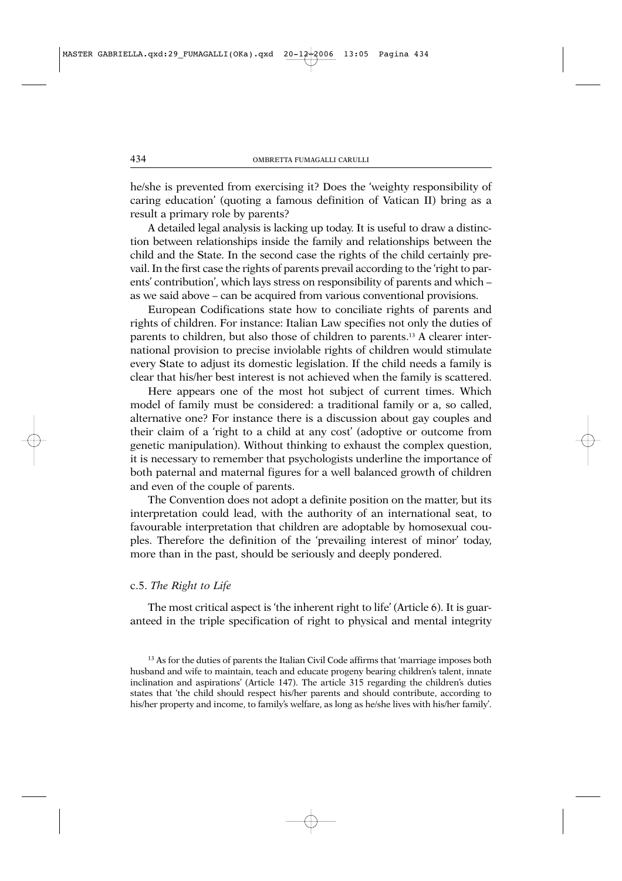he/she is prevented from exercising it? Does the 'weighty responsibility of caring education' (quoting a famous definition of Vatican II) bring as a result a primary role by parents?

A detailed legal analysis is lacking up today. It is useful to draw a distinction between relationships inside the family and relationships between the child and the State. In the second case the rights of the child certainly prevail. In the first case the rights of parents prevail according to the 'right to parents' contribution', which lays stress on responsibility of parents and which – as we said above – can be acquired from various conventional provisions.

European Codifications state how to conciliate rights of parents and rights of children. For instance: Italian Law specifies not only the duties of parents to children, but also those of children to parents.13 A clearer international provision to precise inviolable rights of children would stimulate every State to adjust its domestic legislation. If the child needs a family is clear that his/her best interest is not achieved when the family is scattered.

Here appears one of the most hot subject of current times. Which model of family must be considered: a traditional family or a, so called, alternative one? For instance there is a discussion about gay couples and their claim of a 'right to a child at any cost' (adoptive or outcome from genetic manipulation). Without thinking to exhaust the complex question, it is necessary to remember that psychologists underline the importance of both paternal and maternal figures for a well balanced growth of children and even of the couple of parents.

The Convention does not adopt a definite position on the matter, but its interpretation could lead, with the authority of an international seat, to favourable interpretation that children are adoptable by homosexual couples. Therefore the definition of the 'prevailing interest of minor' today, more than in the past, should be seriously and deeply pondered.

#### c.5. *The Right to Life*

The most critical aspect is 'the inherent right to life' (Article 6). It is guaranteed in the triple specification of right to physical and mental integrity

<sup>&</sup>lt;sup>13</sup> As for the duties of parents the Italian Civil Code affirms that 'marriage imposes both husband and wife to maintain, teach and educate progeny bearing children's talent, innate inclination and aspirations' (Article 147). The article 315 regarding the children's duties states that 'the child should respect his/her parents and should contribute, according to his/her property and income, to family's welfare, as long as he/she lives with his/her family'.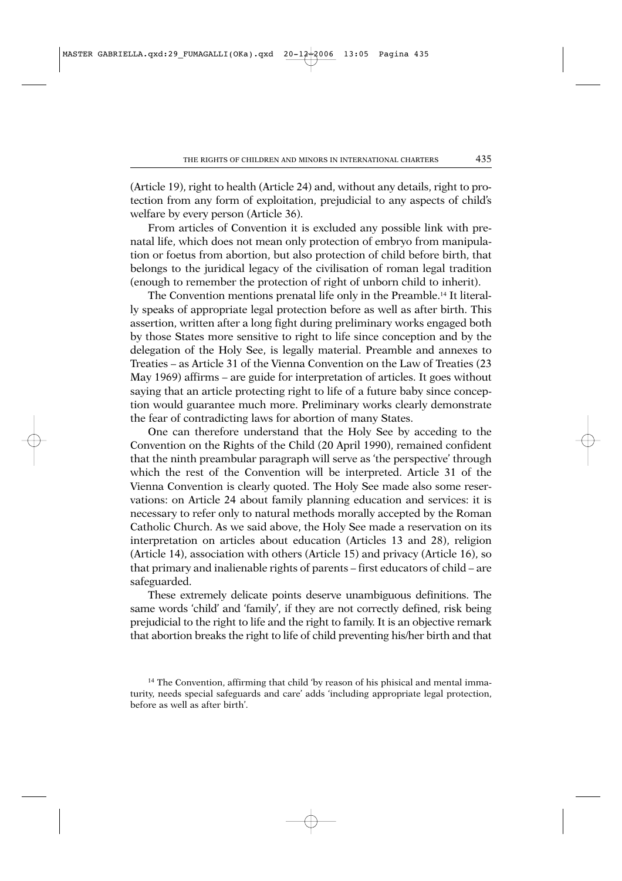(Article 19), right to health (Article 24) and, without any details, right to protection from any form of exploitation, prejudicial to any aspects of child's welfare by every person (Article 36).

From articles of Convention it is excluded any possible link with prenatal life, which does not mean only protection of embryo from manipulation or foetus from abortion, but also protection of child before birth, that belongs to the juridical legacy of the civilisation of roman legal tradition (enough to remember the protection of right of unborn child to inherit).

The Convention mentions prenatal life only in the Preamble.14 It literally speaks of appropriate legal protection before as well as after birth. This assertion, written after a long fight during preliminary works engaged both by those States more sensitive to right to life since conception and by the delegation of the Holy See, is legally material. Preamble and annexes to Treaties – as Article 31 of the Vienna Convention on the Law of Treaties (23 May 1969) affirms – are guide for interpretation of articles. It goes without saying that an article protecting right to life of a future baby since conception would guarantee much more. Preliminary works clearly demonstrate the fear of contradicting laws for abortion of many States.

One can therefore understand that the Holy See by acceding to the Convention on the Rights of the Child (20 April 1990), remained confident that the ninth preambular paragraph will serve as 'the perspective' through which the rest of the Convention will be interpreted. Article 31 of the Vienna Convention is clearly quoted. The Holy See made also some reservations: on Article 24 about family planning education and services: it is necessary to refer only to natural methods morally accepted by the Roman Catholic Church. As we said above, the Holy See made a reservation on its interpretation on articles about education (Articles 13 and 28), religion (Article 14), association with others (Article 15) and privacy (Article 16), so that primary and inalienable rights of parents – first educators of child – are safeguarded.

These extremely delicate points deserve unambiguous definitions. The same words 'child' and 'family', if they are not correctly defined, risk being prejudicial to the right to life and the right to family. It is an objective remark that abortion breaks the right to life of child preventing his/her birth and that

<sup>&</sup>lt;sup>14</sup> The Convention, affirming that child 'by reason of his phisical and mental immaturity, needs special safeguards and care' adds 'including appropriate legal protection, before as well as after birth'.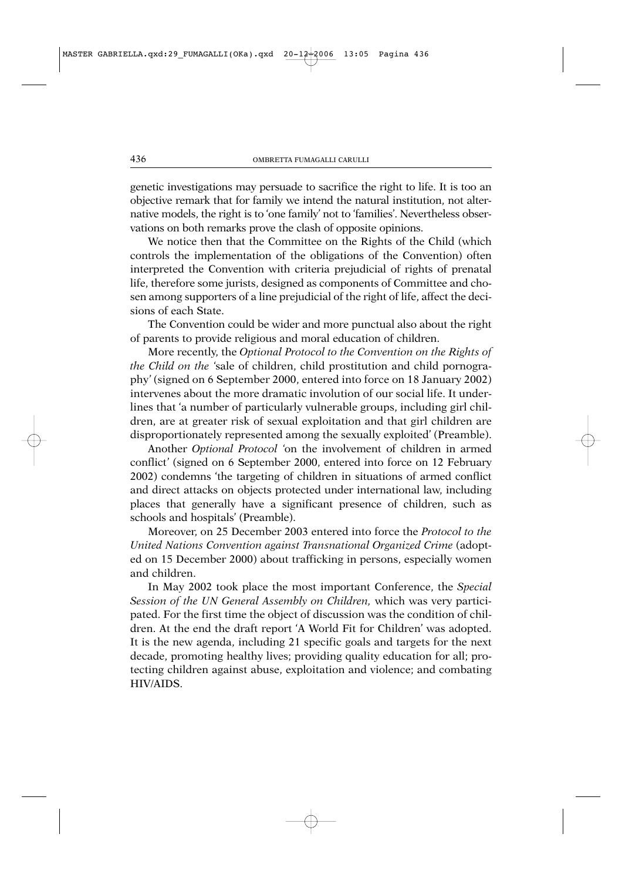genetic investigations may persuade to sacrifice the right to life. It is too an objective remark that for family we intend the natural institution, not alternative models, the right is to 'one family' not to 'families'. Nevertheless observations on both remarks prove the clash of opposite opinions.

We notice then that the Committee on the Rights of the Child (which controls the implementation of the obligations of the Convention) often interpreted the Convention with criteria prejudicial of rights of prenatal life, therefore some jurists, designed as components of Committee and chosen among supporters of a line prejudicial of the right of life, affect the decisions of each State.

The Convention could be wider and more punctual also about the right of parents to provide religious and moral education of children.

More recently, the *Optional Protocol to the Convention on the Rights of the Child on the '*sale of children, child prostitution and child pornography*'* (signed on 6 September 2000, entered into force on 18 January 2002) intervenes about the more dramatic involution of our social life. It underlines that 'a number of particularly vulnerable groups, including girl children, are at greater risk of sexual exploitation and that girl children are disproportionately represented among the sexually exploited' (Preamble).

Another *Optional Protocol '*on the involvement of children in armed conflict*'* (signed on 6 September 2000, entered into force on 12 February 2002) condemns 'the targeting of children in situations of armed conflict and direct attacks on objects protected under international law, including places that generally have a significant presence of children, such as schools and hospitals' (Preamble).

Moreover, on 25 December 2003 entered into force the *Protocol to the United Nations Convention against Transnational Organized Crime* (adopted on 15 December 2000) about trafficking in persons, especially women and children.

In May 2002 took place the most important Conference, the *Special Session of the UN General Assembly on Children,* which was very participated. For the first time the object of discussion was the condition of children. At the end the draft report 'A World Fit for Children' was adopted. It is the new agenda, including 21 specific goals and targets for the next decade, promoting healthy lives; providing quality education for all; protecting children against abuse, exploitation and violence; and combating HIV/AIDS.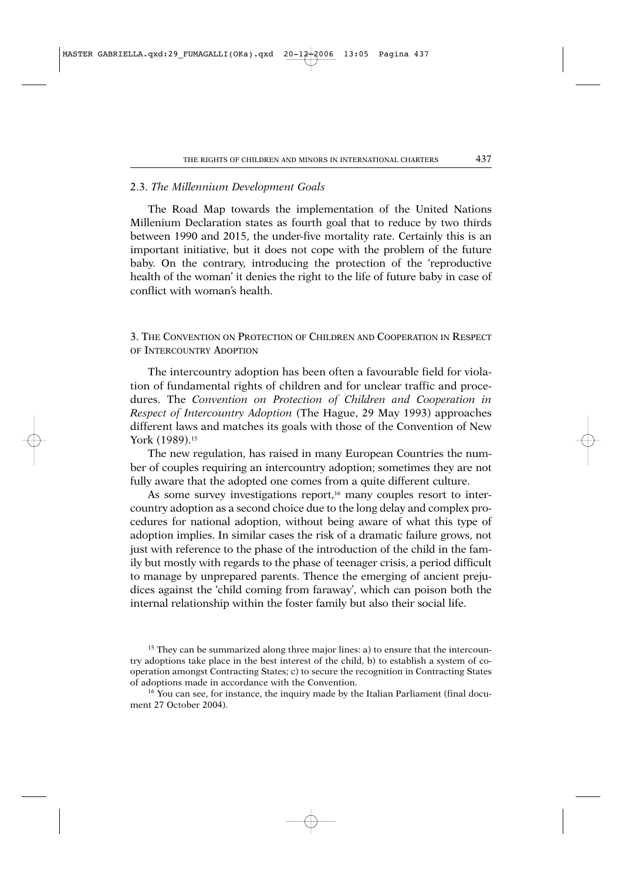## 2.3. *The Millennium Development Goals*

The Road Map towards the implementation of the United Nations Millenium Declaration states as fourth goal that to reduce by two thirds between 1990 and 2015, the under-five mortality rate. Certainly this is an important initiative, but it does not cope with the problem of the future baby. On the contrary, introducing the protection of the 'reproductive health of the woman' it denies the right to the life of future baby in case of conflict with woman's health.

3. THE CONVENTION ON PROTECTION OF CHILDREN AND COOPERATION IN RESPECT OF INTERCOUNTRY ADOPTION

The intercountry adoption has been often a favourable field for violation of fundamental rights of children and for unclear traffic and procedures. The *Convention on Protection of Children and Cooperation in Respect of Intercountry Adoption* (The Hague, 29 May 1993) approaches different laws and matches its goals with those of the Convention of New York (1989).15

The new regulation, has raised in many European Countries the number of couples requiring an intercountry adoption; sometimes they are not fully aware that the adopted one comes from a quite different culture.

As some survey investigations report,<sup>16</sup> many couples resort to intercountry adoption as a second choice due to the long delay and complex procedures for national adoption, without being aware of what this type of adoption implies. In similar cases the risk of a dramatic failure grows, not just with reference to the phase of the introduction of the child in the family but mostly with regards to the phase of teenager crisis, a period difficult to manage by unprepared parents. Thence the emerging of ancient prejudices against the 'child coming from faraway', which can poison both the internal relationship within the foster family but also their social life.

<sup>&</sup>lt;sup>15</sup> They can be summarized along three major lines: a) to ensure that the intercountry adoptions take place in the best interest of the child, b) to establish a system of cooperation amongst Contracting States; c) to secure the recognition in Contracting States of adoptions made in accordance with the Convention.

<sup>&</sup>lt;sup>16</sup> You can see, for instance, the inquiry made by the Italian Parliament (final document 27 October 2004).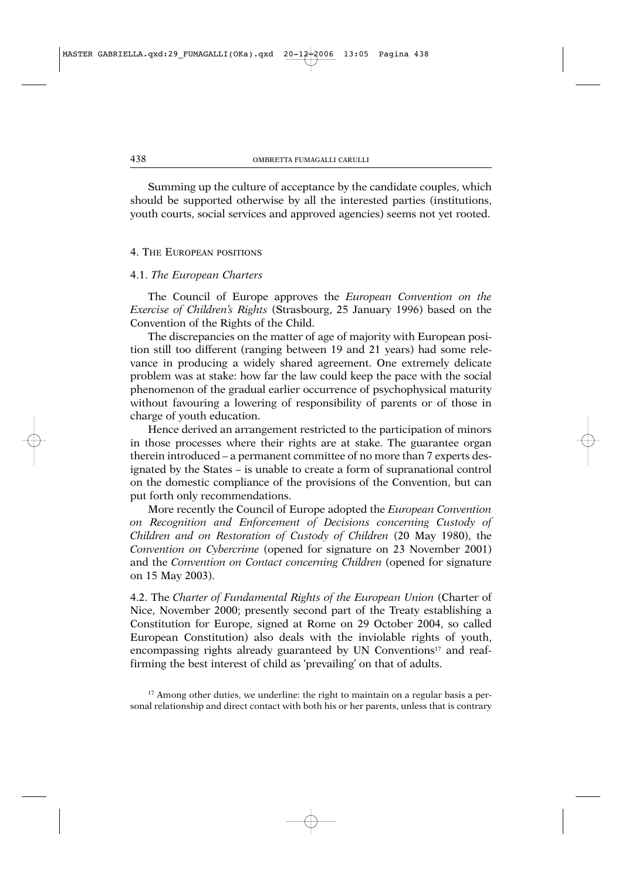Summing up the culture of acceptance by the candidate couples, which should be supported otherwise by all the interested parties (institutions, youth courts, social services and approved agencies) seems not yet rooted.

#### 4. THE EUROPEAN POSITIONS

#### 4.1. *The European Charters*

The Council of Europe approves the *European Convention on the Exercise of Children's Rights* (Strasbourg, 25 January 1996) based on the Convention of the Rights of the Child.

The discrepancies on the matter of age of majority with European position still too different (ranging between 19 and 21 years) had some relevance in producing a widely shared agreement. One extremely delicate problem was at stake: how far the law could keep the pace with the social phenomenon of the gradual earlier occurrence of psychophysical maturity without favouring a lowering of responsibility of parents or of those in charge of youth education.

Hence derived an arrangement restricted to the participation of minors in those processes where their rights are at stake. The guarantee organ therein introduced – a permanent committee of no more than 7 experts designated by the States – is unable to create a form of supranational control on the domestic compliance of the provisions of the Convention, but can put forth only recommendations.

More recently the Council of Europe adopted the *European Convention on Recognition and Enforcement of Decisions concerning Custody of Children and on Restoration of Custody of Children* (20 May 1980), the *Convention on Cybercrime* (opened for signature on 23 November 2001) and the *Convention on Contact concerning Children* (opened for signature on 15 May 2003).

4.2. The *Charter of Fundamental Rights of the European Union* (Charter of Nice, November 2000; presently second part of the Treaty establishing a Constitution for Europe, signed at Rome on 29 October 2004, so called European Constitution) also deals with the inviolable rights of youth, encompassing rights already guaranteed by UN Conventions<sup>17</sup> and reaffirming the best interest of child as 'prevailing' on that of adults.

<sup>&</sup>lt;sup>17</sup> Among other duties, we underline: the right to maintain on a regular basis a personal relationship and direct contact with both his or her parents, unless that is contrary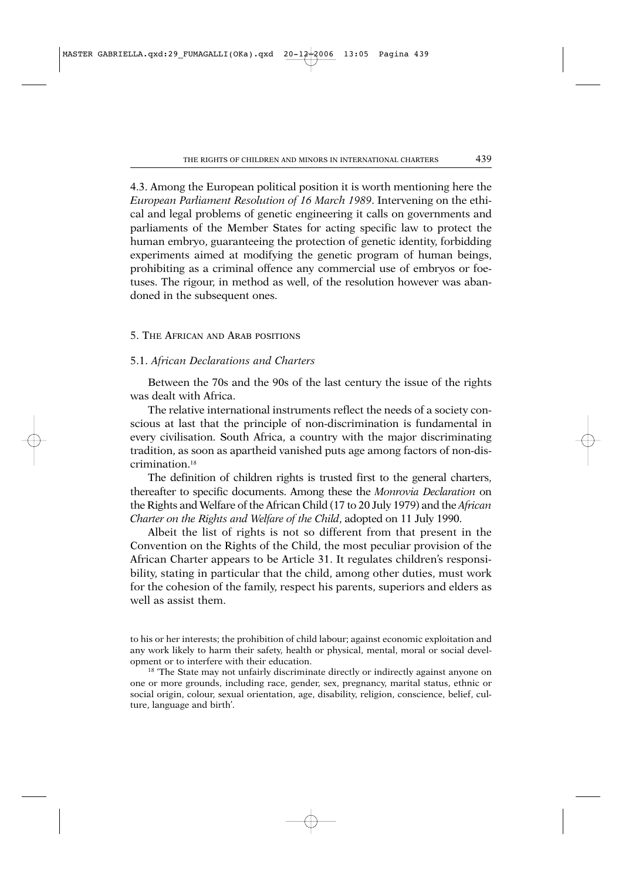4.3. Among the European political position it is worth mentioning here the *European Parliament Resolution of 16 March 1989*. Intervening on the ethical and legal problems of genetic engineering it calls on governments and parliaments of the Member States for acting specific law to protect the human embryo, guaranteeing the protection of genetic identity, forbidding experiments aimed at modifying the genetic program of human beings, prohibiting as a criminal offence any commercial use of embryos or foetuses. The rigour, in method as well, of the resolution however was abandoned in the subsequent ones.

#### 5. THE AFRICAN AND ARAB POSITIONS

#### 5.1. *African Declarations and Charters*

Between the 70s and the 90s of the last century the issue of the rights was dealt with Africa.

The relative international instruments reflect the needs of a society conscious at last that the principle of non-discrimination is fundamental in every civilisation. South Africa, a country with the major discriminating tradition, as soon as apartheid vanished puts age among factors of non-discrimination<sup>18</sup>

The definition of children rights is trusted first to the general charters, thereafter to specific documents. Among these the *Monrovia Declaration* on the Rights and Welfare of the African Child (17 to 20 July 1979) and the *African Charter on the Rights and Welfare of the Child*, adopted on 11 July 1990.

Albeit the list of rights is not so different from that present in the Convention on the Rights of the Child, the most peculiar provision of the African Charter appears to be Article 31. It regulates children's responsibility, stating in particular that the child, among other duties, must work for the cohesion of the family, respect his parents, superiors and elders as well as assist them.

to his or her interests; the prohibition of child labour; against economic exploitation and any work likely to harm their safety, health or physical, mental, moral or social development or to interfere with their education.

<sup>18</sup> The State may not unfairly discriminate directly or indirectly against anyone on one or more grounds, including race, gender, sex, pregnancy, marital status, ethnic or social origin, colour, sexual orientation, age, disability, religion, conscience, belief, culture, language and birth'.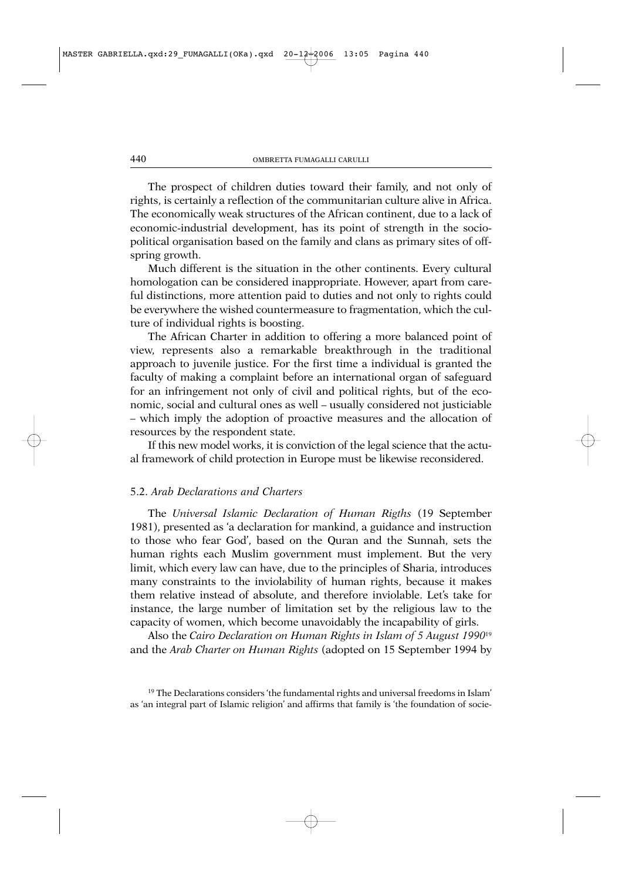The prospect of children duties toward their family, and not only of rights, is certainly a reflection of the communitarian culture alive in Africa. The economically weak structures of the African continent, due to a lack of economic-industrial development, has its point of strength in the sociopolitical organisation based on the family and clans as primary sites of offspring growth.

Much different is the situation in the other continents. Every cultural homologation can be considered inappropriate. However, apart from careful distinctions, more attention paid to duties and not only to rights could be everywhere the wished countermeasure to fragmentation, which the culture of individual rights is boosting.

The African Charter in addition to offering a more balanced point of view, represents also a remarkable breakthrough in the traditional approach to juvenile justice. For the first time a individual is granted the faculty of making a complaint before an international organ of safeguard for an infringement not only of civil and political rights, but of the economic, social and cultural ones as well – usually considered not justiciable – which imply the adoption of proactive measures and the allocation of resources by the respondent state.

If this new model works, it is conviction of the legal science that the actual framework of child protection in Europe must be likewise reconsidered.

#### 5.2. *Arab Declarations and Charters*

The *Universal Islamic Declaration of Human Rigths* (19 September 1981), presented as 'a declaration for mankind, a guidance and instruction to those who fear God', based on the Quran and the Sunnah, sets the human rights each Muslim government must implement. But the very limit, which every law can have, due to the principles of Sharia, introduces many constraints to the inviolability of human rights, because it makes them relative instead of absolute, and therefore inviolable. Let's take for instance, the large number of limitation set by the religious law to the capacity of women, which become unavoidably the incapability of girls.

Also the *Cairo Declaration on Human Rights in Islam of 5 August 1990*<sup>19</sup> and the *Arab Charter on Human Rights* (adopted on 15 September 1994 by

 $19$  The Declarations considers 'the fundamental rights and universal freedoms in Islam' as 'an integral part of Islamic religion' and affirms that family is 'the foundation of socie-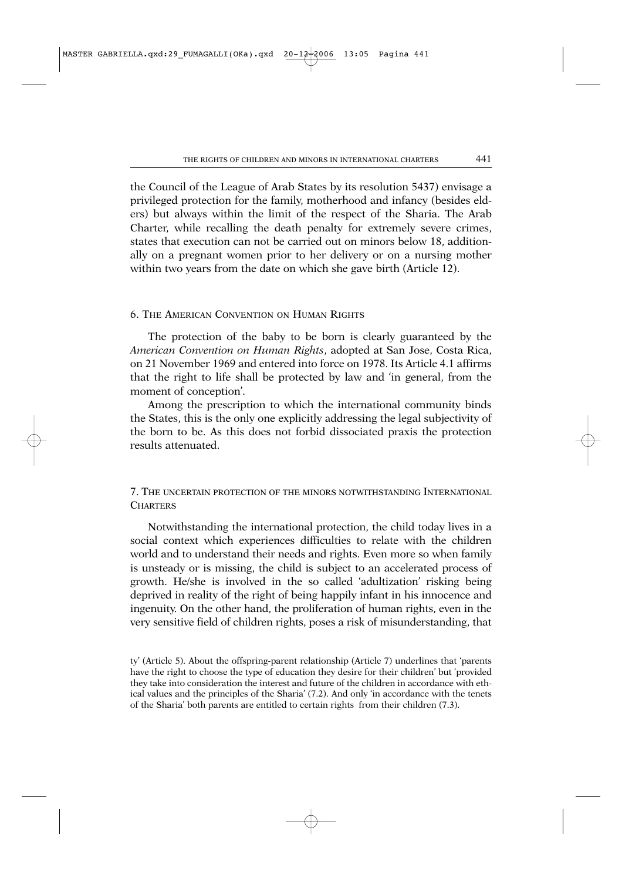the Council of the League of Arab States by its resolution 5437) envisage a privileged protection for the family, motherhood and infancy (besides elders) but always within the limit of the respect of the Sharia. The Arab Charter, while recalling the death penalty for extremely severe crimes, states that execution can not be carried out on minors below 18, additionally on a pregnant women prior to her delivery or on a nursing mother within two years from the date on which she gave birth (Article 12).

#### 6. THE AMERICAN CONVENTION ON HUMAN RIGHTS

The protection of the baby to be born is clearly guaranteed by the *American Convention on Human Rights*, adopted at San Jose, Costa Rica, on 21 November 1969 and entered into force on 1978. Its Article 4.1 affirms that the right to life shall be protected by law and 'in general, from the moment of conception'.

Among the prescription to which the international community binds the States, this is the only one explicitly addressing the legal subjectivity of the born to be. As this does not forbid dissociated praxis the protection results attenuated.

## 7. THE UNCERTAIN PROTECTION OF THE MINORS NOTWITHSTANDING INTERNATIONAL **CHARTERS**

Notwithstanding the international protection, the child today lives in a social context which experiences difficulties to relate with the children world and to understand their needs and rights. Even more so when family is unsteady or is missing, the child is subject to an accelerated process of growth. He/she is involved in the so called 'adultization' risking being deprived in reality of the right of being happily infant in his innocence and ingenuity. On the other hand, the proliferation of human rights, even in the very sensitive field of children rights, poses a risk of misunderstanding, that

ty' (Article 5). About the offspring-parent relationship (Article 7) underlines that 'parents have the right to choose the type of education they desire for their children' but 'provided they take into consideration the interest and future of the children in accordance with ethical values and the principles of the Sharia' (7.2). And only 'in accordance with the tenets of the Sharia' both parents are entitled to certain rights from their children (7.3).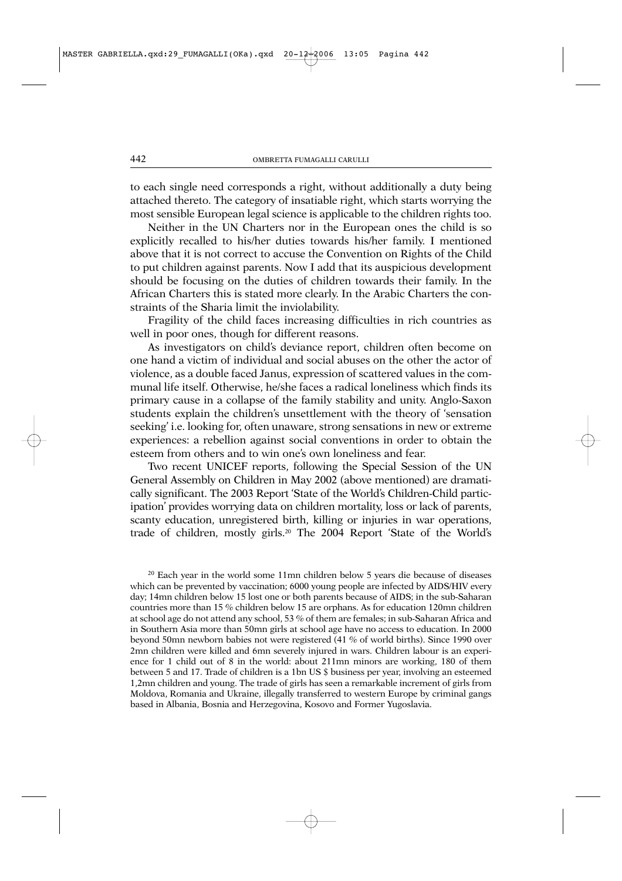to each single need corresponds a right, without additionally a duty being attached thereto. The category of insatiable right, which starts worrying the most sensible European legal science is applicable to the children rights too.

Neither in the UN Charters nor in the European ones the child is so explicitly recalled to his/her duties towards his/her family. I mentioned above that it is not correct to accuse the Convention on Rights of the Child to put children against parents. Now I add that its auspicious development should be focusing on the duties of children towards their family. In the African Charters this is stated more clearly. In the Arabic Charters the constraints of the Sharia limit the inviolability.

Fragility of the child faces increasing difficulties in rich countries as well in poor ones, though for different reasons.

As investigators on child's deviance report, children often become on one hand a victim of individual and social abuses on the other the actor of violence, as a double faced Janus, expression of scattered values in the communal life itself. Otherwise, he/she faces a radical loneliness which finds its primary cause in a collapse of the family stability and unity. Anglo-Saxon students explain the children's unsettlement with the theory of 'sensation seeking' i.e. looking for, often unaware, strong sensations in new or extreme experiences: a rebellion against social conventions in order to obtain the esteem from others and to win one's own loneliness and fear.

Two recent UNICEF reports, following the Special Session of the UN General Assembly on Children in May 2002 (above mentioned) are dramatically significant. The 2003 Report 'State of the World's Children-Child participation' provides worrying data on children mortality, loss or lack of parents, scanty education, unregistered birth, killing or injuries in war operations, trade of children, mostly girls.20 The 2004 Report 'State of the World's

<sup>20</sup> Each year in the world some 11mn children below 5 years die because of diseases which can be prevented by vaccination; 6000 young people are infected by AIDS/HIV every day; 14mn children below 15 lost one or both parents because of AIDS; in the sub-Saharan countries more than 15 % children below 15 are orphans. As for education 120mn children at school age do not attend any school, 53 % of them are females; in sub-Saharan Africa and in Southern Asia more than 50mn girls at school age have no access to education. In 2000 beyond 50mn newborn babies not were registered (41 % of world births). Since 1990 over 2mn children were killed and 6mn severely injured in wars. Children labour is an experience for 1 child out of 8 in the world: about 211mn minors are working, 180 of them between 5 and 17. Trade of children is a 1bn US \$ business per year, involving an esteemed 1,2mn children and young. The trade of girls has seen a remarkable increment of girls from Moldova, Romania and Ukraine, illegally transferred to western Europe by criminal gangs based in Albania, Bosnia and Herzegovina, Kosovo and Former Yugoslavia.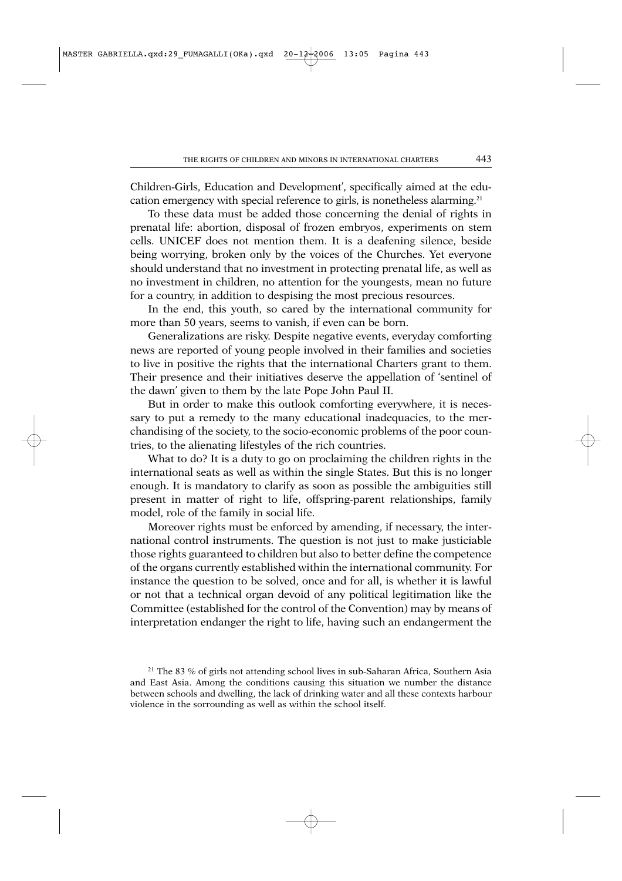Children-Girls, Education and Development', specifically aimed at the education emergency with special reference to girls, is nonetheless alarming.21

To these data must be added those concerning the denial of rights in prenatal life: abortion, disposal of frozen embryos, experiments on stem cells. UNICEF does not mention them. It is a deafening silence, beside being worrying, broken only by the voices of the Churches. Yet everyone should understand that no investment in protecting prenatal life, as well as no investment in children, no attention for the youngests, mean no future for a country, in addition to despising the most precious resources.

In the end, this youth, so cared by the international community for more than 50 years, seems to vanish, if even can be born.

Generalizations are risky. Despite negative events, everyday comforting news are reported of young people involved in their families and societies to live in positive the rights that the international Charters grant to them. Their presence and their initiatives deserve the appellation of 'sentinel of the dawn' given to them by the late Pope John Paul II.

But in order to make this outlook comforting everywhere, it is necessary to put a remedy to the many educational inadequacies, to the merchandising of the society, to the socio-economic problems of the poor countries, to the alienating lifestyles of the rich countries.

What to do? It is a duty to go on proclaiming the children rights in the international seats as well as within the single States. But this is no longer enough. It is mandatory to clarify as soon as possible the ambiguities still present in matter of right to life, offspring-parent relationships, family model, role of the family in social life.

Moreover rights must be enforced by amending, if necessary, the international control instruments. The question is not just to make justiciable those rights guaranteed to children but also to better define the competence of the organs currently established within the international community. For instance the question to be solved, once and for all, is whether it is lawful or not that a technical organ devoid of any political legitimation like the Committee (established for the control of the Convention) may by means of interpretation endanger the right to life, having such an endangerment the

<sup>21</sup> The 83 % of girls not attending school lives in sub-Saharan Africa, Southern Asia and East Asia. Among the conditions causing this situation we number the distance between schools and dwelling, the lack of drinking water and all these contexts harbour violence in the sorrounding as well as within the school itself.